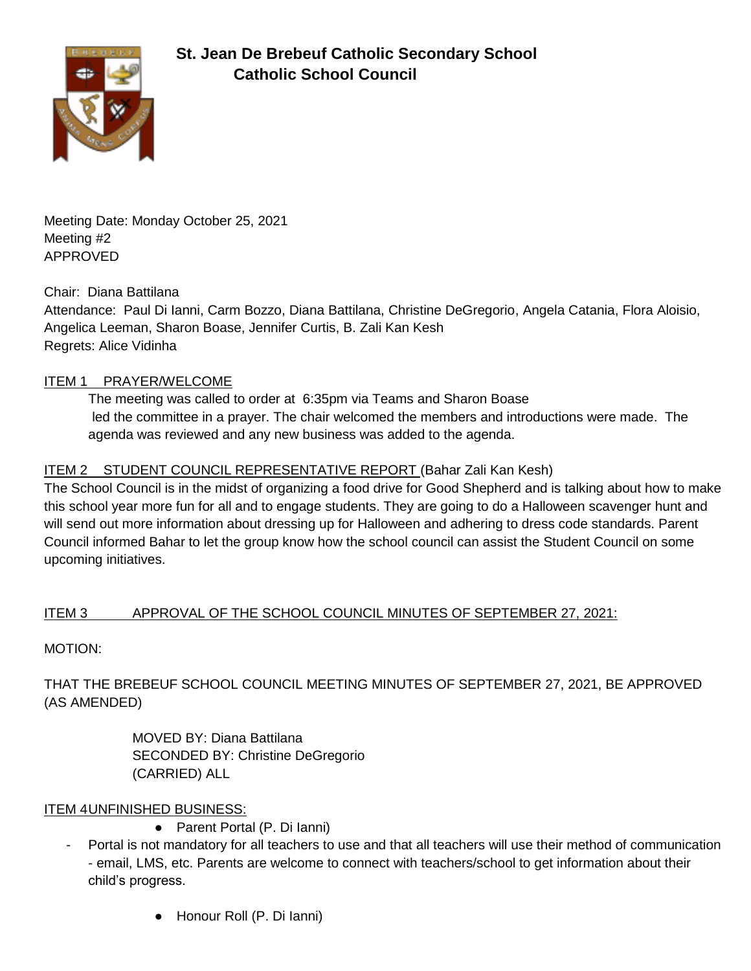

Meeting Date: Monday October 25, 2021 Meeting #2 APPROVED

Chair: Diana Battilana

Attendance: Paul Di Ianni, Carm Bozzo, Diana Battilana, Christine DeGregorio, Angela Catania, Flora Aloisio, Angelica Leeman, Sharon Boase, Jennifer Curtis, B. Zali Kan Kesh Regrets: Alice Vidinha

### ITEM 1 PRAYER/WELCOME

The meeting was called to order at 6:35pm via Teams and Sharon Boase led the committee in a prayer. The chair welcomed the members and introductions were made. The agenda was reviewed and any new business was added to the agenda.

## ITEM 2 STUDENT COUNCIL REPRESENTATIVE REPORT (Bahar Zali Kan Kesh)

The School Council is in the midst of organizing a food drive for Good Shepherd and is talking about how to make this school year more fun for all and to engage students. They are going to do a Halloween scavenger hunt and will send out more information about dressing up for Halloween and adhering to dress code standards. Parent Council informed Bahar to let the group know how the school council can assist the Student Council on some upcoming initiatives.

## ITEM 3 APPROVAL OF THE SCHOOL COUNCIL MINUTES OF SEPTEMBER 27, 2021:

MOTION:

THAT THE BREBEUF SCHOOL COUNCIL MEETING MINUTES OF SEPTEMBER 27, 2021, BE APPROVED (AS AMENDED)

> MOVED BY: Diana Battilana SECONDED BY: Christine DeGregorio (CARRIED) ALL

## ITEM 4UNFINISHED BUSINESS:

- Parent Portal (P. Di Ianni)
- Portal is not mandatory for all teachers to use and that all teachers will use their method of communication - email, LMS, etc. Parents are welcome to connect with teachers/school to get information about their child's progress.
	- Honour Roll (P. Di Ianni)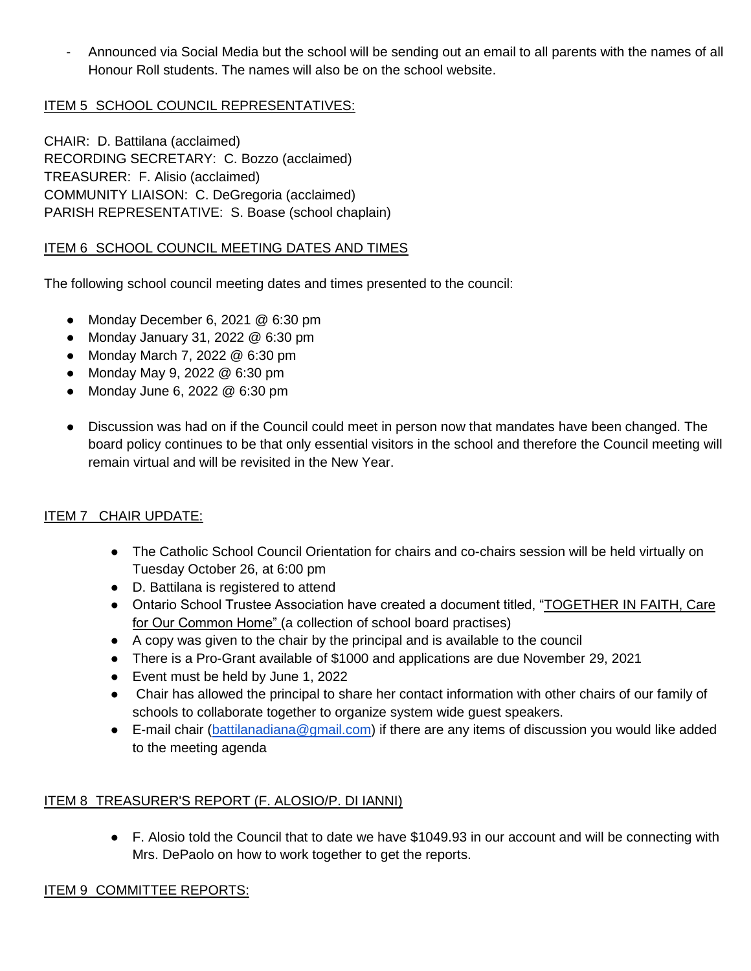- Announced via Social Media but the school will be sending out an email to all parents with the names of all Honour Roll students. The names will also be on the school website.

## ITEM 5 SCHOOL COUNCIL REPRESENTATIVES:

CHAIR: D. Battilana (acclaimed) RECORDING SECRETARY: C. Bozzo (acclaimed) TREASURER: F. Alisio (acclaimed) COMMUNITY LIAISON: C. DeGregoria (acclaimed) PARISH REPRESENTATIVE: S. Boase (school chaplain)

### ITEM 6 SCHOOL COUNCIL MEETING DATES AND TIMES

The following school council meeting dates and times presented to the council:

- Monday December 6, 2021 @ 6:30 pm
- Monday January 31, 2022 @ 6:30 pm
- Monday March 7, 2022 @ 6:30 pm
- Monday May 9, 2022 @ 6:30 pm
- Monday June 6, 2022 @ 6:30 pm
- Discussion was had on if the Council could meet in person now that mandates have been changed. The board policy continues to be that only essential visitors in the school and therefore the Council meeting will remain virtual and will be revisited in the New Year.

## ITEM 7 CHAIR UPDATE:

- The Catholic School Council Orientation for chairs and co-chairs session will be held virtually on Tuesday October 26, at 6:00 pm
- D. Battilana is registered to attend
- Ontario School Trustee Association have created a document titled, "TOGETHER IN FAITH, Care for Our Common Home" (a collection of school board practises)
- A copy was given to the chair by the principal and is available to the council
- There is a Pro-Grant available of \$1000 and applications are due November 29, 2021
- Event must be held by June 1, 2022
- Chair has allowed the principal to share her contact information with other chairs of our family of schools to collaborate together to organize system wide guest speakers.
- E-mail chair [\(battilanadiana@gmail.com\)](mailto:battilanadiana@gmail.com) if there are any items of discussion you would like added to the meeting agenda

#### ITEM 8 TREASURER'S REPORT (F. ALOSIO/P. DI IANNI)

● F. Alosio told the Council that to date we have \$1049.93 in our account and will be connecting with Mrs. DePaolo on how to work together to get the reports.

#### ITEM 9 COMMITTEE REPORTS: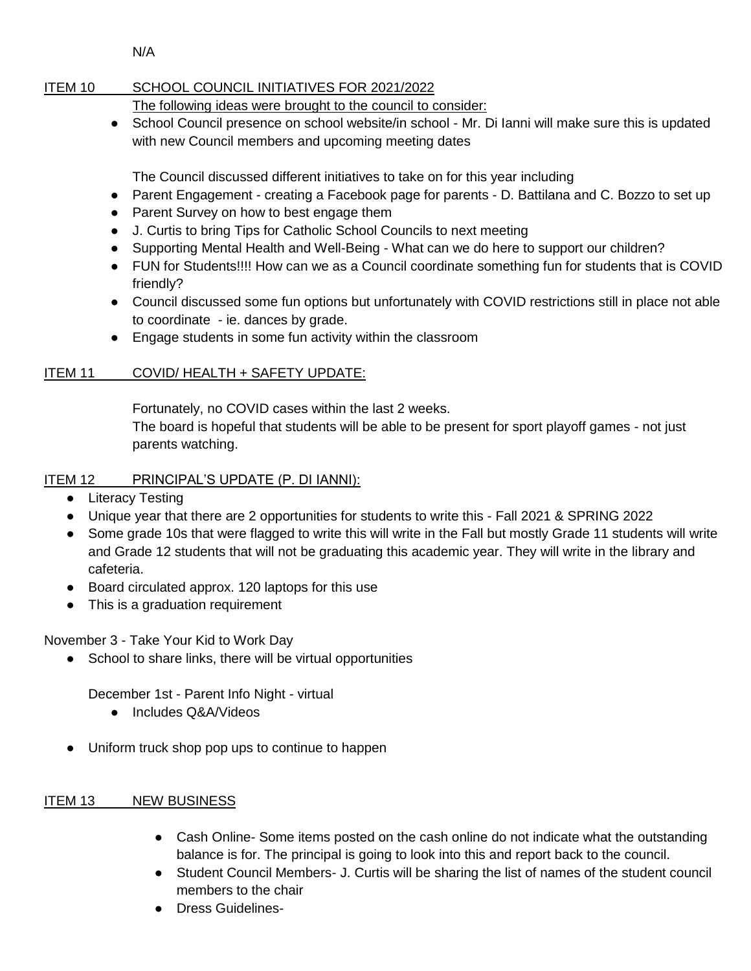N/A

## ITEM 10 SCHOOL COUNCIL INITIATIVES FOR 2021/2022

The following ideas were brought to the council to consider:

● School Council presence on school website/in school - Mr. Di lanni will make sure this is updated with new Council members and upcoming meeting dates

The Council discussed different initiatives to take on for this year including

- Parent Engagement creating a Facebook page for parents D. Battilana and C. Bozzo to set up
- Parent Survey on how to best engage them
- J. Curtis to bring Tips for Catholic School Councils to next meeting
- Supporting Mental Health and Well-Being What can we do here to support our children?
- FUN for Students!!!! How can we as a Council coordinate something fun for students that is COVID friendly?
- Council discussed some fun options but unfortunately with COVID restrictions still in place not able to coordinate - ie. dances by grade.
- Engage students in some fun activity within the classroom

# ITEM 11 COVID/ HEALTH + SAFETY UPDATE:

Fortunately, no COVID cases within the last 2 weeks. The board is hopeful that students will be able to be present for sport playoff games - not just parents watching.

# ITEM 12 PRINCIPAL'S UPDATE (P. DI IANNI):

- Literacy Testing
- Unique year that there are 2 opportunities for students to write this Fall 2021 & SPRING 2022
- Some grade 10s that were flagged to write this will write in the Fall but mostly Grade 11 students will write and Grade 12 students that will not be graduating this academic year. They will write in the library and cafeteria.
- Board circulated approx. 120 laptops for this use
- This is a graduation requirement

November 3 - Take Your Kid to Work Day

School to share links, there will be virtual opportunities

December 1st - Parent Info Night - virtual

- Includes Q&A/Videos
- Uniform truck shop pop ups to continue to happen

# ITEM 13 NEW BUSINESS

- Cash Online- Some items posted on the cash online do not indicate what the outstanding balance is for. The principal is going to look into this and report back to the council.
- Student Council Members- J. Curtis will be sharing the list of names of the student council members to the chair
- Dress Guidelines-